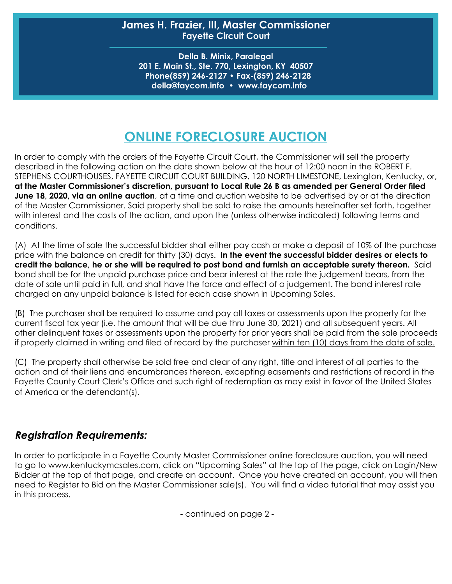## **James H. Frazier, III, Master Commissioner Fayette Circuit Court**

**Della B. Minix, Paralegal 201 E. Main St., Ste. 770, Lexington, KY 40507 Phone(859) 246-2127 • Fax-(859) 246-2128 della@faycom.info • www.faycom.info**

## **ONLINE FORECLOSURE AUCTION**

In order to comply with the orders of the Fayette Circuit Court, the Commissioner will sell the property described in the following action on the date shown below at the hour of 12:00 noon in the ROBERT F. STEPHENS COURTHOUSES, FAYETTE CIRCUIT COURT BUILDING, 120 NORTH LIMESTONE, Lexington, Kentucky, or, **at the Master Commissioner's discretion, pursuant to Local Rule 26 B as amended per General Order filed June 18, 2020, via an online auction**, at a time and auction website to be advertised by or at the direction of the Master Commissioner. Said property shall be sold to raise the amounts hereinafter set forth, together with interest and the costs of the action, and upon the (unless otherwise indicated) following terms and conditions.

(A) At the time of sale the successful bidder shall either pay cash or make a deposit of 10% of the purchase price with the balance on credit for thirty (30) days. **In the event the successful bidder desires or elects to credit the balance, he or she will be required to post bond and furnish an acceptable surety thereon.** Said bond shall be for the unpaid purchase price and bear interest at the rate the judgement bears, from the date of sale until paid in full, and shall have the force and effect of a judgement. The bond interest rate charged on any unpaid balance is listed for each case shown in Upcoming Sales.

(B) The purchaser shall be required to assume and pay all taxes or assessments upon the property for the current fiscal tax year (i.e. the amount that will be due thru June 30, 2021) and all subsequent years. All other delinquent taxes or assessments upon the property for prior years shall be paid from the sale proceeds if properly claimed in writing and filed of record by the purchaser within ten (10) days from the date of sale.

(C) The property shall otherwise be sold free and clear of any right, title and interest of all parties to the action and of their liens and encumbrances thereon, excepting easements and restrictions of record in the Fayette County Court Clerk's Office and such right of redemption as may exist in favor of the United States of America or the defendant(s).

## **Registration Requirements:**

In order to participate in a Fayette County Master Commissioner online foreclosure auction, you will need to go to www.kentuckymcsales.com, click on "Upcoming Sales" at the top of the page, click on Login/New Bidder at the top of that page, and create an account. Once you have created an account, you will then need to Register to Bid on the Master Commissioner sale(s). You will find a video tutorial that may assist you in this process.

- continued on page 2 -